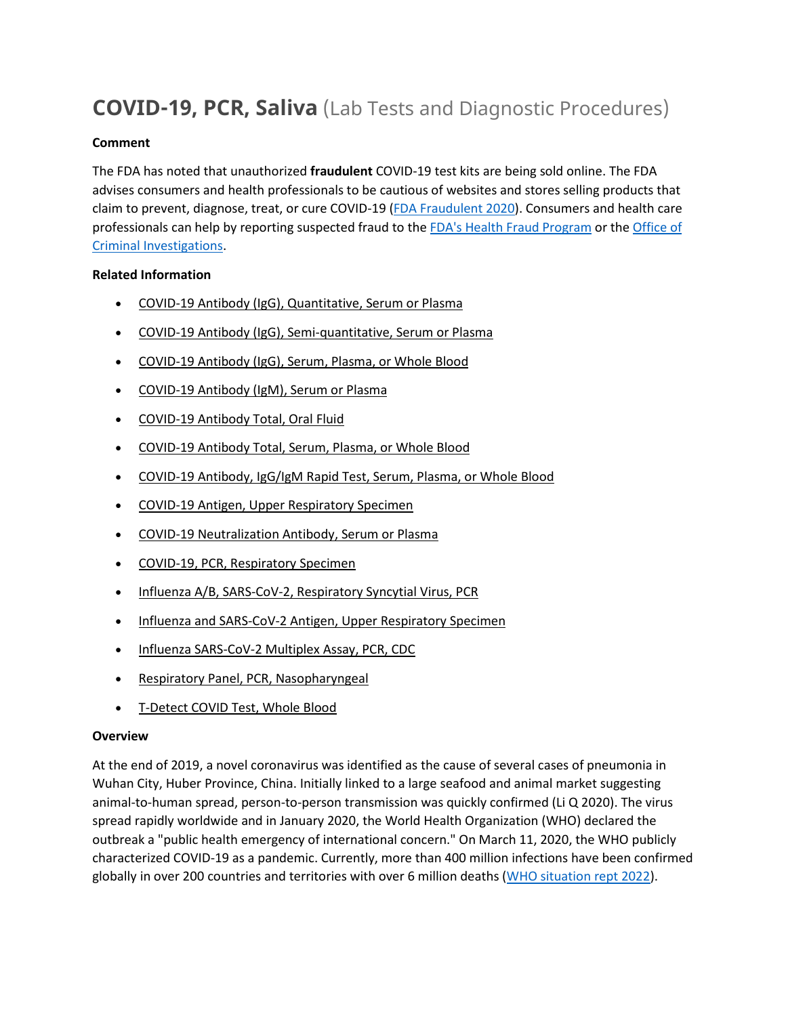# **COVID-19, PCR, Saliva** (Lab Tests and Diagnostic Procedures)

#### **Comment**

The FDA has noted that unauthorized **fraudulent** COVID-19 test kits are being sold online. The FDA advises consumers and health professionals to be cautious of websites and stores selling products that claim to prevent, diagnose, treat, or cure COVID-19 [\(FDA Fraudulent 2020\)](https://www.fda.gov/consumers/consumer-updates/beware-fraudulent-coronavirus-tests-vaccines-and-treatments?utm_campaign=FDA%20MedWatch%20-%20Fraudulent%20Coronavirus%20Tests%2C%20Vaccines%20and%20Treatments&utm_medium=email&utm_source=Eloqua). Consumers and health care professionals can help by reporting suspected fraud to the [FDA's Health Fraud Program](https://www.fda.gov/safety/report-problem-fda/reporting-unlawful-sales-medical-products-internet) or the [Office of](https://www.accessdata.fda.gov/scripts/email/oc/oci/contact.cfm)  [Criminal Investigations.](https://www.accessdata.fda.gov/scripts/email/oc/oci/contact.cfm)

## **Related Information**

- [COVID-19 Antibody \(IgG\), Quantitative, Serum or Plasma](https://online.lexi.com/lco/action/doc/retrieve/docid/lthdph/7121093)
- [COVID-19 Antibody \(IgG\), Semi-quantitative, Serum or Plasma](https://online.lexi.com/lco/action/doc/retrieve/docid/lthdph/7077895)
- [COVID-19 Antibody \(IgG\), Serum, Plasma, or Whole Blood](https://online.lexi.com/lco/action/doc/retrieve/docid/lthdph/6940954)
- [COVID-19 Antibody \(IgM\), Serum or Plasma](https://online.lexi.com/lco/action/doc/retrieve/docid/lthdph/7150051)
- [COVID-19 Antibody Total, Oral Fluid](https://online.lexi.com/lco/action/doc/retrieve/docid/lthdph/7111648)
- [COVID-19 Antibody Total, Serum, Plasma, or Whole Blood](https://online.lexi.com/lco/action/doc/retrieve/docid/lthdph/6946612)
- [COVID-19 Antibody, IgG/IgM Rapid Test, Serum, Plasma, or Whole Blood](https://online.lexi.com/lco/action/doc/retrieve/docid/lthdph/6935326)
- [COVID-19 Antigen, Upper Respiratory Specimen](https://online.lexi.com/lco/action/doc/retrieve/docid/lthdph/6947693)
- [COVID-19 Neutralization Antibody, Serum or Plasma](https://online.lexi.com/lco/action/doc/retrieve/docid/lthdph/7011669)
- [COVID-19, PCR, Respiratory Specimen](https://online.lexi.com/lco/action/doc/retrieve/docid/lthdph/6920837)
- [Influenza A/B, SARS-CoV-2, Respiratory Syncytial Virus, PCR](https://online.lexi.com/lco/action/doc/retrieve/docid/lthdph/7128794)
- [Influenza and SARS-CoV-2 Antigen, Upper Respiratory Specimen](https://online.lexi.com/lco/action/doc/retrieve/docid/lthdph/7063859)
- [Influenza SARS-CoV-2 Multiplex Assay, PCR, CDC](https://online.lexi.com/lco/action/doc/retrieve/docid/lthdph/6990707)
- [Respiratory Panel, PCR, Nasopharyngeal](https://online.lexi.com/lco/action/doc/retrieve/docid/lthdph/7106510)
- [T-Detect COVID Test, Whole Blood](https://online.lexi.com/lco/action/doc/retrieve/docid/lthdph/7145964)

#### **Overview**

At the end of 2019, a novel coronavirus was identified as the cause of several cases of pneumonia in Wuhan City, Huber Province, China. Initially linked to a large seafood and animal market suggesting animal-to-human spread, person-to-person transmission was quickly confirmed (Li Q 2020). The virus spread rapidly worldwide and in January 2020, the World Health Organization (WHO) declared the outbreak a "public health emergency of international concern." On March 11, 2020, the WHO publicly characterized COVID-19 as a pandemic. Currently, more than 400 million infections have been confirmed globally in over 200 countries and territories with over 6 million deaths [\(WHO situation rept 2022\)](https://www.who.int/emergencies/diseases/novel-coronavirus-2019/situation-reports).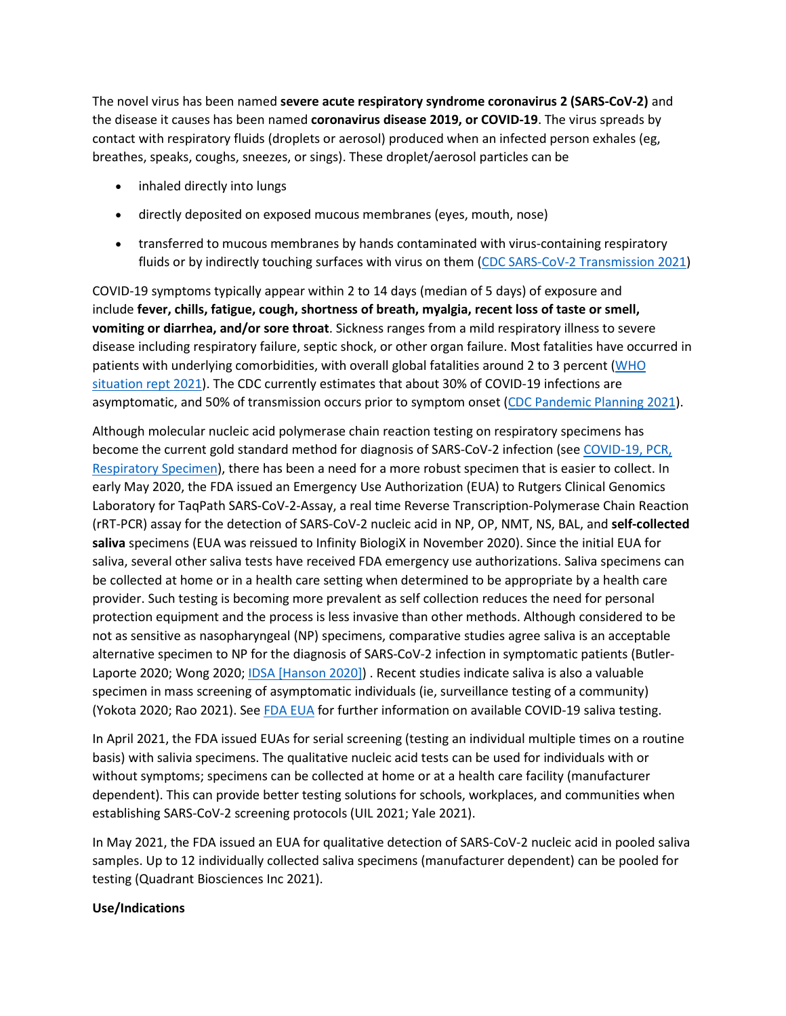The novel virus has been named **severe acute respiratory syndrome coronavirus 2 (SARS-CoV-2)** and the disease it causes has been named **coronavirus disease 2019, or COVID-19**. The virus spreads by contact with respiratory fluids (droplets or aerosol) produced when an infected person exhales (eg, breathes, speaks, coughs, sneezes, or sings). These droplet/aerosol particles can be

- inhaled directly into lungs
- directly deposited on exposed mucous membranes (eyes, mouth, nose)
- transferred to mucous membranes by hands contaminated with virus-containing respiratory fluids or by indirectly touching surfaces with virus on them [\(CDC SARS-CoV-2 Transmission 2021\)](https://www.cdc.gov/coronavirus/2019-ncov/science/science-briefs/sars-cov-2-transmission.html)

COVID-19 symptoms typically appear within 2 to 14 days (median of 5 days) of exposure and include **fever, chills, fatigue, cough, shortness of breath, myalgia, recent loss of taste or smell, vomiting or diarrhea, and/or sore throat**. Sickness ranges from a mild respiratory illness to severe disease including respiratory failure, septic shock, or other organ failure. Most fatalities have occurred in patients with underlying comorbidities, with overall global fatalities around 2 to 3 percent [\(WHO](https://www.who.int/emergencies/diseases/novel-coronavirus-2019/situation-reports)  [situation rept 2021\)](https://www.who.int/emergencies/diseases/novel-coronavirus-2019/situation-reports). The CDC currently estimates that about 30% of COVID-19 infections are asymptomatic, and 50% of transmission occurs prior to symptom onset [\(CDC Pandemic Planning 2021\)](https://www.cdc.gov/coronavirus/2019-ncov/hcp/planning-scenarios.html).

Although molecular nucleic acid polymerase chain reaction testing on respiratory specimens has become the current gold standard method for diagnosis of SARS-CoV-2 infection (see [COVID-19, PCR,](https://online.lexi.com/lco/action/search/globalid/869331)  [Respiratory Specimen\)](https://online.lexi.com/lco/action/search/globalid/869331), there has been a need for a more robust specimen that is easier to collect. In early May 2020, the FDA issued an Emergency Use Authorization (EUA) to Rutgers Clinical Genomics Laboratory for TaqPath SARS-CoV-2-Assay, a real time Reverse Transcription-Polymerase Chain Reaction (rRT-PCR) assay for the detection of SARS-CoV-2 nucleic acid in NP, OP, NMT, NS, BAL, and **self-collected saliva** specimens (EUA was reissued to Infinity BiologiX in November 2020). Since the initial EUA for saliva, several other saliva tests have received FDA emergency use authorizations. Saliva specimens can be collected at home or in a health care setting when determined to be appropriate by a health care provider. Such testing is becoming more prevalent as self collection reduces the need for personal protection equipment and the process is less invasive than other methods. Although considered to be not as sensitive as nasopharyngeal (NP) specimens, comparative studies agree saliva is an acceptable alternative specimen to NP for the diagnosis of SARS-CoV-2 infection in symptomatic patients (Butler-Laporte 2020; Wong 2020; [IDSA \[Hanson 2020\]\)](https://www.idsociety.org/practice-guideline/covid-19-guideline-diagnostics/) . Recent studies indicate saliva is also a valuable specimen in mass screening of asymptomatic individuals (ie, surveillance testing of a community) (Yokota 2020; Rao 2021). See [FDA EUA](https://www.fda.gov/medical-devices/coronavirus-disease-2019-covid-19-emergency-use-authorizations-medical-devices/vitro-diagnostics-euas) for further information on available COVID-19 saliva testing.

In April 2021, the FDA issued EUAs for serial screening (testing an individual multiple times on a routine basis) with salivia specimens. The qualitative nucleic acid tests can be used for individuals with or without symptoms; specimens can be collected at home or at a health care facility (manufacturer dependent). This can provide better testing solutions for schools, workplaces, and communities when establishing SARS-CoV-2 screening protocols (UIL 2021; Yale 2021).

In May 2021, the FDA issued an EUA for qualitative detection of SARS-CoV-2 nucleic acid in pooled saliva samples. Up to 12 individually collected saliva specimens (manufacturer dependent) can be pooled for testing (Quadrant Biosciences Inc 2021).

## **Use/Indications**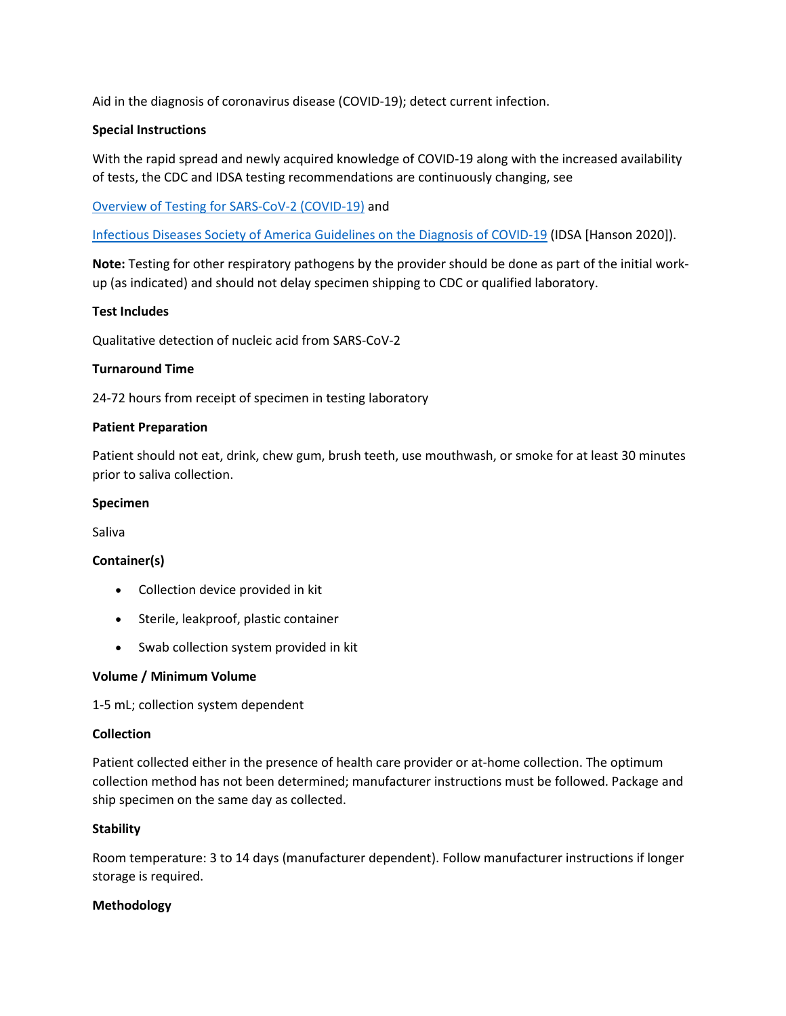Aid in the diagnosis of coronavirus disease (COVID-19); detect current infection.

## **Special Instructions**

With the rapid spread and newly acquired knowledge of COVID-19 along with the increased availability of tests, the CDC and IDSA testing recommendations are continuously changing, see

[Overview of Testing for SARS-CoV-2 \(COVID-19\)](https://www.cdc.gov/coronavirus/2019-ncov/hcp/testing-overview.html) and

[Infectious Diseases Society of America Guidelines on the Diagnosis of COVID-19](https://www.idsociety.org/practice-guideline/covid-19-guideline-diagnostics/) (IDSA [Hanson 2020]).

**Note:** Testing for other respiratory pathogens by the provider should be done as part of the initial workup (as indicated) and should not delay specimen shipping to CDC or qualified laboratory.

# **Test Includes**

Qualitative detection of nucleic acid from SARS-CoV-2

## **Turnaround Time**

24-72 hours from receipt of specimen in testing laboratory

#### **Patient Preparation**

Patient should not eat, drink, chew gum, brush teeth, use mouthwash, or smoke for at least 30 minutes prior to saliva collection.

#### **Specimen**

Saliva

## **Container(s)**

- Collection device provided in kit
- Sterile, leakproof, plastic container
- Swab collection system provided in kit

## **Volume / Minimum Volume**

1-5 mL; collection system dependent

#### **Collection**

Patient collected either in the presence of health care provider or at-home collection. The optimum collection method has not been determined; manufacturer instructions must be followed. Package and ship specimen on the same day as collected.

## **Stability**

Room temperature: 3 to 14 days (manufacturer dependent). Follow manufacturer instructions if longer storage is required.

#### **Methodology**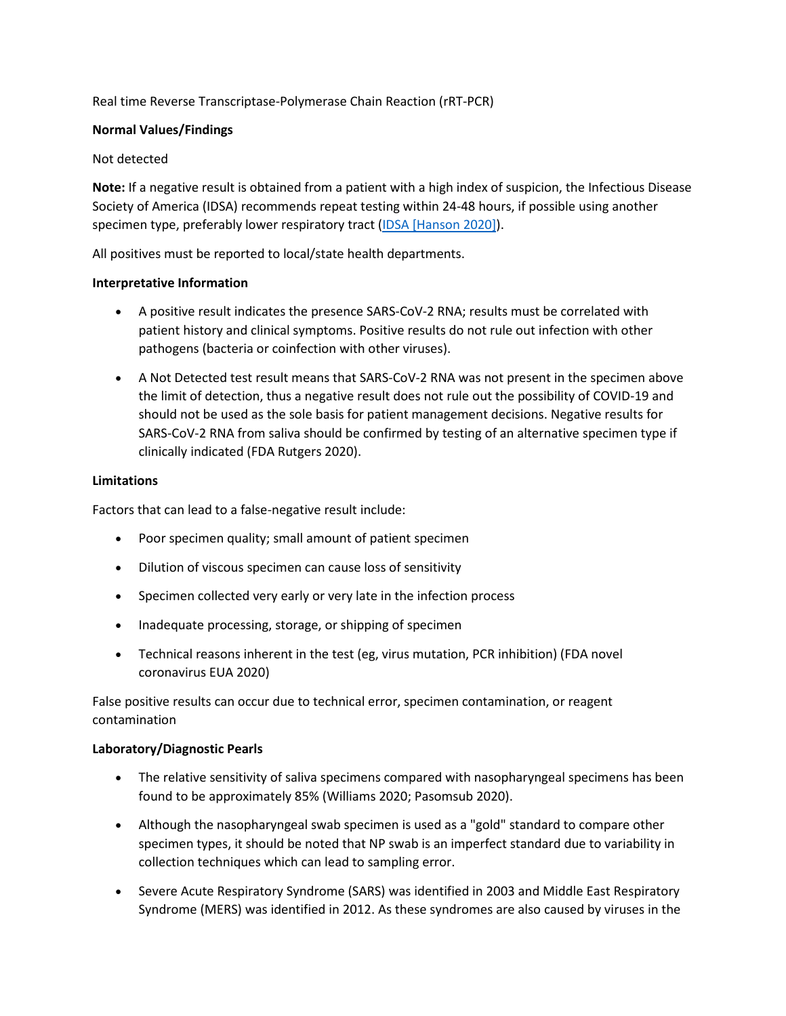# Real time Reverse Transcriptase-Polymerase Chain Reaction (rRT-PCR)

## **Normal Values/Findings**

## Not detected

**Note:** If a negative result is obtained from a patient with a high index of suspicion, the Infectious Disease Society of America (IDSA) recommends repeat testing within 24-48 hours, if possible using another specimen type, preferably lower respiratory tract [\(IDSA \[Hanson 2020\]\)](https://www.idsociety.org/practice-guideline/covid-19-guideline-diagnostics/).

All positives must be reported to local/state health departments.

## **Interpretative Information**

- A positive result indicates the presence SARS-CoV-2 RNA; results must be correlated with patient history and clinical symptoms. Positive results do not rule out infection with other pathogens (bacteria or coinfection with other viruses).
- A Not Detected test result means that SARS-CoV-2 RNA was not present in the specimen above the limit of detection, thus a negative result does not rule out the possibility of COVID-19 and should not be used as the sole basis for patient management decisions. Negative results for SARS-CoV-2 RNA from saliva should be confirmed by testing of an alternative specimen type if clinically indicated (FDA Rutgers 2020).

# **Limitations**

Factors that can lead to a false-negative result include:

- Poor specimen quality; small amount of patient specimen
- Dilution of viscous specimen can cause loss of sensitivity
- Specimen collected very early or very late in the infection process
- Inadequate processing, storage, or shipping of specimen
- Technical reasons inherent in the test (eg, virus mutation, PCR inhibition) (FDA novel coronavirus EUA 2020)

False positive results can occur due to technical error, specimen contamination, or reagent contamination

## **Laboratory/Diagnostic Pearls**

- The relative sensitivity of saliva specimens compared with nasopharyngeal specimens has been found to be approximately 85% (Williams 2020; Pasomsub 2020).
- Although the nasopharyngeal swab specimen is used as a "gold" standard to compare other specimen types, it should be noted that NP swab is an imperfect standard due to variability in collection techniques which can lead to sampling error.
- Severe Acute Respiratory Syndrome (SARS) was identified in 2003 and Middle East Respiratory Syndrome (MERS) was identified in 2012. As these syndromes are also caused by viruses in the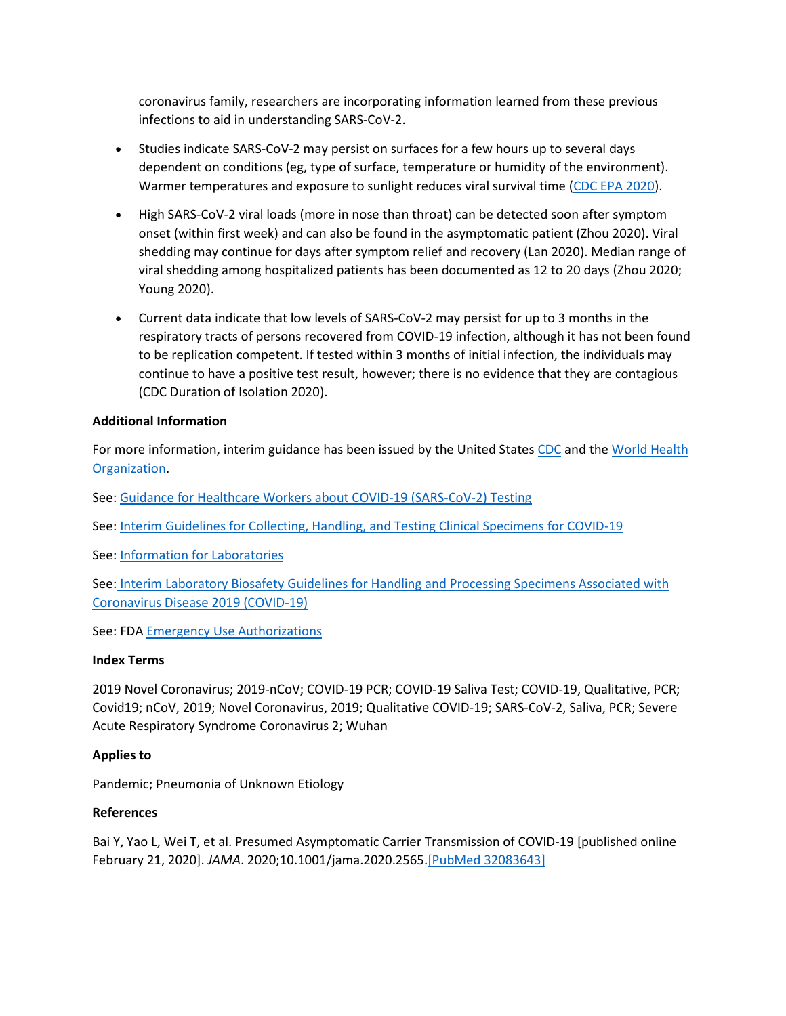coronavirus family, researchers are incorporating information learned from these previous infections to aid in understanding SARS-CoV-2.

- Studies indicate SARS-CoV-2 may persist on surfaces for a few hours up to several days dependent on conditions (eg, type of surface, temperature or humidity of the environment). Warmer temperatures and exposure to sunlight reduces viral survival time [\(CDC EPA 2020\)](https://www.cdc.gov/coronavirus/2019-ncov/community/pdf/reopening_america_guidance.pdf).
- High SARS-CoV-2 viral loads (more in nose than throat) can be detected soon after symptom onset (within first week) and can also be found in the asymptomatic patient (Zhou 2020). Viral shedding may continue for days after symptom relief and recovery (Lan 2020). Median range of viral shedding among hospitalized patients has been documented as 12 to 20 days (Zhou 2020; Young 2020).
- Current data indicate that low levels of SARS-CoV-2 may persist for up to 3 months in the respiratory tracts of persons recovered from COVID-19 infection, although it has not been found to be replication competent. If tested within 3 months of initial infection, the individuals may continue to have a positive test result, however; there is no evidence that they are contagious (CDC Duration of Isolation 2020).

# **Additional Information**

For more information, interim guidance has been issued by the United States [CDC](https://www.cdc.gov/coronavirus/2019-ncov/index.html) and the [World Health](https://www.who.int/emergencies/diseases/novel-coronavirus-2019)  [Organization.](https://www.who.int/emergencies/diseases/novel-coronavirus-2019)

See: [Guidance for Healthcare Workers about COVID-19 \(SARS-CoV-2\) Testing](https://www.cdc.gov/coronavirus/2019-ncov/hcp/testing.html)

See: [Interim Guidelines for Collecting, Handling, and Testing Clinical Specimens for COVID-19](https://www.cdc.gov/coronavirus/2019-nCoV/lab/guidelines-clinical-specimens.html)

See: [Information for Laboratories](https://www.cdc.gov/coronavirus/2019-ncov/lab/index.html?CDC_AA_refVal=https%3A%2F%2Fwww.cdc.gov%2Fcoronavirus%2F2019-ncov%2Fguidance-laboratories.html)

See: [Interim Laboratory Biosafety Guidelines for Handling and Processing Specimens Associated with](https://www.cdc.gov/coronavirus/2019-ncov/lab/lab-biosafety-guidelines.html?CDC_AA_refVal=https%3A%2F%2Fwww.cdc.gov%2Fcoronavirus%2F2019-ncov%2Flab-biosafety-guidelines.html)  [Coronavirus Disease 2019 \(COVID-19\)](https://www.cdc.gov/coronavirus/2019-ncov/lab/lab-biosafety-guidelines.html?CDC_AA_refVal=https%3A%2F%2Fwww.cdc.gov%2Fcoronavirus%2F2019-ncov%2Flab-biosafety-guidelines.html)

See: FDA [Emergency Use Authorizations](https://www.fda.gov/emergency-preparedness-and-response/mcm-legal-regulatory-and-policy-framework/emergency-use-authorization)

## **Index Terms**

2019 Novel Coronavirus; 2019-nCoV; COVID-19 PCR; COVID-19 Saliva Test; COVID-19, Qualitative, PCR; Covid19; nCoV, 2019; Novel Coronavirus, 2019; Qualitative COVID-19; SARS-CoV-2, Saliva, PCR; Severe Acute Respiratory Syndrome Coronavirus 2; Wuhan

## **Applies to**

Pandemic; Pneumonia of Unknown Etiology

## **References**

Bai Y, Yao L, Wei T, et al. Presumed Asymptomatic Carrier Transmission of COVID-19 [published online February 21, 2020]. *JAMA*. 2020;10.1001/jama.2020.2565[.\[PubMed 32083643\]](https://www.ncbi.nlm.nih.gov/entrez/query.fcgi?cmd=Retrieve&db=pubmed&dopt=Abstract&list_uids=32083643)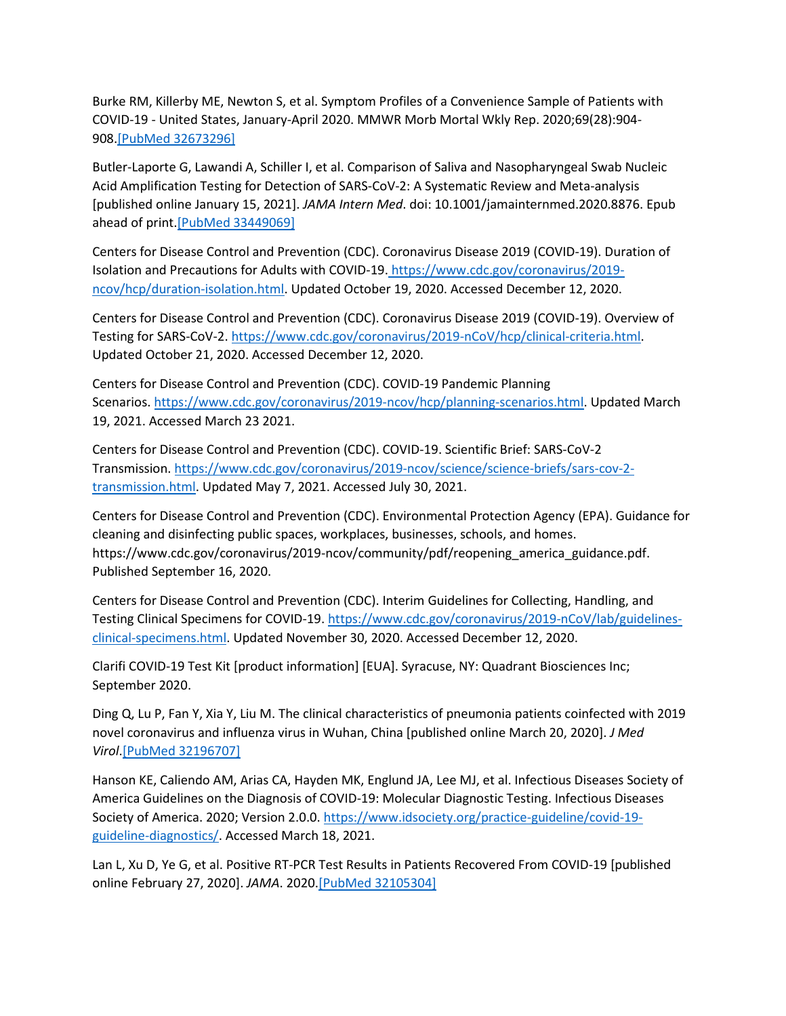Burke RM, Killerby ME, Newton S, et al. Symptom Profiles of a Convenience Sample of Patients with COVID-19 - United States, January-April 2020. MMWR Morb Mortal Wkly Rep. 2020;69(28):904- 908[.\[PubMed 32673296\]](https://www.ncbi.nlm.nih.gov/entrez/query.fcgi?cmd=Retrieve&db=pubmed&dopt=Abstract&list_uids=32673296)

Butler-Laporte G, Lawandi A, Schiller I, et al. Comparison of Saliva and Nasopharyngeal Swab Nucleic Acid Amplification Testing for Detection of SARS-CoV-2: A Systematic Review and Meta-analysis [published online January 15, 2021]. *JAMA Intern Med*. doi: 10.1001/jamainternmed.2020.8876. Epub ahead of print[.\[PubMed 33449069\]](https://www.ncbi.nlm.nih.gov/entrez/query.fcgi?cmd=Retrieve&db=pubmed&dopt=Abstract&list_uids=33449069)

Centers for Disease Control and Prevention (CDC). Coronavirus Disease 2019 (COVID-19). Duration of Isolation and Precautions for Adults with COVID-19. [https://www.cdc.gov/coronavirus/2019](https://www.cdc.gov/coronavirus/2019-ncov/hcp/duration-isolation.html) [ncov/hcp/duration-isolation.html.](https://www.cdc.gov/coronavirus/2019-ncov/hcp/duration-isolation.html) Updated October 19, 2020. Accessed December 12, 2020.

Centers for Disease Control and Prevention (CDC). Coronavirus Disease 2019 (COVID-19). Overview of Testing for SARS-CoV-2. [https://www.cdc.gov/coronavirus/2019-nCoV/hcp/clinical-criteria.html.](https://www.cdc.gov/coronavirus/2019-ncov/hcp/testing-overview.html) Updated October 21, 2020. Accessed December 12, 2020.

Centers for Disease Control and Prevention (CDC). COVID-19 Pandemic Planning Scenarios. [https://www.cdc.gov/coronavirus/2019-ncov/hcp/planning-scenarios.html.](https://www.cdc.gov/coronavirus/2019-ncov/hcp/planning-scenarios.html) Updated March 19, 2021. Accessed March 23 2021.

Centers for Disease Control and Prevention (CDC). COVID-19. Scientific Brief: SARS-CoV-2 Transmission. [https://www.cdc.gov/coronavirus/2019-ncov/science/science-briefs/sars-cov-2](https://www.cdc.gov/coronavirus/2019-ncov/science/science-briefs/sars-cov-2-transmission.html) [transmission.html.](https://www.cdc.gov/coronavirus/2019-ncov/science/science-briefs/sars-cov-2-transmission.html) Updated May 7, 2021. Accessed July 30, 2021.

Centers for Disease Control and Prevention (CDC). Environmental Protection Agency (EPA). Guidance for cleaning and disinfecting public spaces, workplaces, businesses, schools, and homes. https://www.cdc.gov/coronavirus/2019-ncov/community/pdf/reopening\_america\_guidance.pdf. Published September 16, 2020.

Centers for Disease Control and Prevention (CDC). Interim Guidelines for Collecting, Handling, and Testing Clinical Specimens for COVID-19. [https://www.cdc.gov/coronavirus/2019-nCoV/lab/guidelines](https://www.cdc.gov/coronavirus/2019-nCoV/lab/guidelines-clinical-specimens.html)[clinical-specimens.html.](https://www.cdc.gov/coronavirus/2019-nCoV/lab/guidelines-clinical-specimens.html) Updated November 30, 2020. Accessed December 12, 2020.

Clarifi COVID-19 Test Kit [product information] [EUA]. Syracuse, NY: Quadrant Biosciences Inc; September 2020.

Ding Q, Lu P, Fan Y, Xia Y, Liu M. The clinical characteristics of pneumonia patients coinfected with 2019 novel coronavirus and influenza virus in Wuhan, China [published online March 20, 2020]. *J Med Virol*[.\[PubMed 32196707\]](https://www.ncbi.nlm.nih.gov/entrez/query.fcgi?cmd=Retrieve&db=pubmed&dopt=Abstract&list_uids=32196707)

Hanson KE, Caliendo AM, Arias CA, Hayden MK, Englund JA, Lee MJ, et al. Infectious Diseases Society of America Guidelines on the Diagnosis of COVID-19: Molecular Diagnostic Testing. Infectious Diseases Society of America. 2020; Version 2.0.0. [https://www.idsociety.org/practice-guideline/covid-19](https://www.idsociety.org/practice-guideline/covid-19-guideline-diagnostics/) [guideline-diagnostics/.](https://www.idsociety.org/practice-guideline/covid-19-guideline-diagnostics/) Accessed March 18, 2021.

Lan L, Xu D, Ye G, et al. Positive RT-PCR Test Results in Patients Recovered From COVID-19 [published online February 27, 2020]. *JAMA*. 2020[.\[PubMed 32105304\]](https://www.ncbi.nlm.nih.gov/entrez/query.fcgi?cmd=Retrieve&db=pubmed&dopt=Abstract&list_uids=32105304)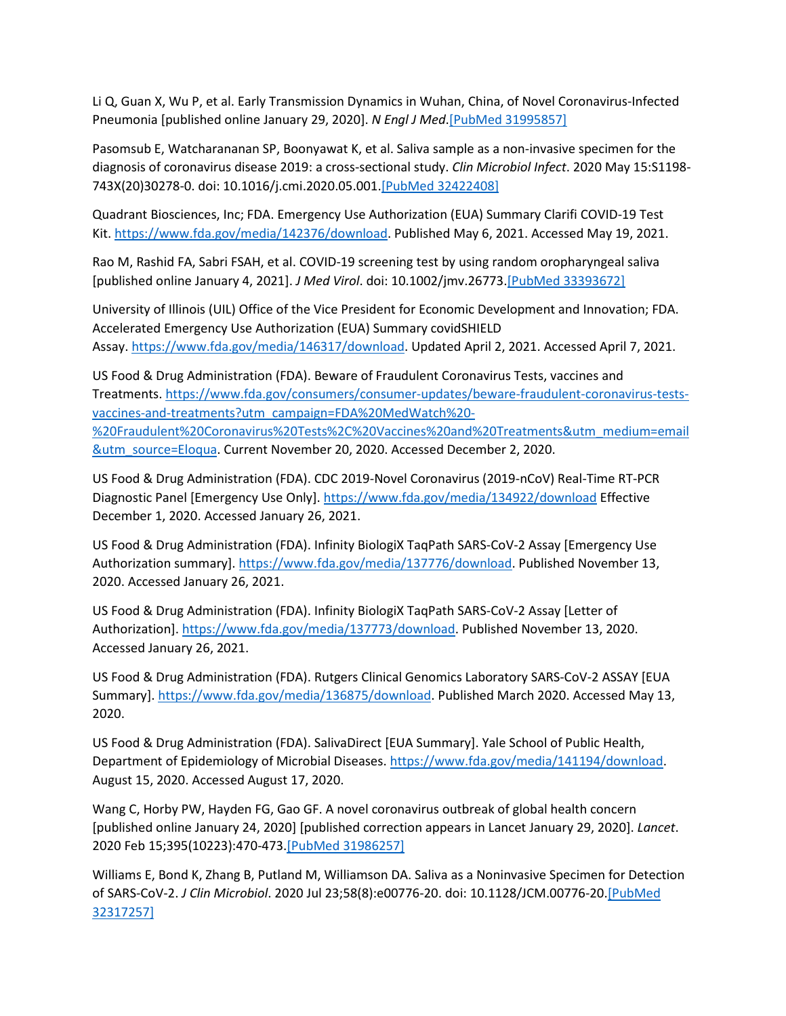Li Q, Guan X, Wu P, et al. Early Transmission Dynamics in Wuhan, China, of Novel Coronavirus-Infected Pneumonia [published online January 29, 2020]. *N Engl J Med*[.\[PubMed 31995857\]](https://www.ncbi.nlm.nih.gov/entrez/query.fcgi?cmd=Retrieve&db=pubmed&dopt=Abstract&list_uids=31995857)

Pasomsub E, Watcharananan SP, Boonyawat K, et al. Saliva sample as a non-invasive specimen for the diagnosis of coronavirus disease 2019: a cross-sectional study. *Clin Microbiol Infect*. 2020 May 15:S1198- 743X(20)30278-0. doi: 10.1016/j.cmi.2020.05.001[.\[PubMed 32422408\]](https://www.ncbi.nlm.nih.gov/entrez/query.fcgi?cmd=Retrieve&db=pubmed&dopt=Abstract&list_uids=32422408)

Quadrant Biosciences, Inc; FDA. Emergency Use Authorization (EUA) Summary Clarifi COVID-19 Test Kit. [https://www.fda.gov/media/142376/download.](https://www.fda.gov/media/142376/download) Published May 6, 2021. Accessed May 19, 2021.

Rao M, Rashid FA, Sabri FSAH, et al. COVID-19 screening test by using random oropharyngeal saliva [published online January 4, 2021]. *J Med Virol*. doi: 10.1002/jmv.26773[.\[PubMed 33393672\]](https://www.ncbi.nlm.nih.gov/entrez/query.fcgi?cmd=Retrieve&db=pubmed&dopt=Abstract&list_uids=33393672)

University of Illinois (UIL) Office of the Vice President for Economic Development and Innovation; FDA. Accelerated Emergency Use Authorization (EUA) Summary covidSHIELD Assay. [https://www.fda.gov/media/146317/download.](https://www.fda.gov/media/146317/download) Updated April 2, 2021. Accessed April 7, 2021.

US Food & Drug Administration (FDA). Beware of Fraudulent Coronavirus Tests, vaccines and Treatments. [https://www.fda.gov/consumers/consumer-updates/beware-fraudulent-coronavirus-tests](https://www.fda.gov/consumers/consumer-updates/beware-fraudulent-coronavirus-tests-vaccines-and-treatments?utm_campaign=FDA%20MedWatch%20-%20Fraudulent%20Coronavirus%20Tests%2C%20Vaccines%20and%20Treatments&utm_medium=email&utm_source=Eloqua)[vaccines-and-treatments?utm\\_campaign=FDA%20MedWatch%20-](https://www.fda.gov/consumers/consumer-updates/beware-fraudulent-coronavirus-tests-vaccines-and-treatments?utm_campaign=FDA%20MedWatch%20-%20Fraudulent%20Coronavirus%20Tests%2C%20Vaccines%20and%20Treatments&utm_medium=email&utm_source=Eloqua) [%20Fraudulent%20Coronavirus%20Tests%2C%20Vaccines%20and%20Treatments&utm\\_medium=email](https://www.fda.gov/consumers/consumer-updates/beware-fraudulent-coronavirus-tests-vaccines-and-treatments?utm_campaign=FDA%20MedWatch%20-%20Fraudulent%20Coronavirus%20Tests%2C%20Vaccines%20and%20Treatments&utm_medium=email&utm_source=Eloqua) [&utm\\_source=Eloqua.](https://www.fda.gov/consumers/consumer-updates/beware-fraudulent-coronavirus-tests-vaccines-and-treatments?utm_campaign=FDA%20MedWatch%20-%20Fraudulent%20Coronavirus%20Tests%2C%20Vaccines%20and%20Treatments&utm_medium=email&utm_source=Eloqua) Current November 20, 2020. Accessed December 2, 2020.

US Food & Drug Administration (FDA). CDC 2019-Novel Coronavirus (2019-nCoV) Real-Time RT-PCR Diagnostic Panel [Emergency Use Only]. <https://www.fda.gov/media/134922/download> Effective December 1, 2020. Accessed January 26, 2021.

US Food & Drug Administration (FDA). Infinity BiologiX TaqPath SARS-CoV-2 Assay [Emergency Use Authorization summary]. [https://www.fda.gov/media/137776/download.](https://www.fda.gov/media/137776/download) Published November 13, 2020. Accessed January 26, 2021.

US Food & Drug Administration (FDA). Infinity BiologiX TaqPath SARS-CoV-2 Assay [Letter of Authorization]. [https://www.fda.gov/media/137773/download.](https://www.fda.gov/media/137773/download) Published November 13, 2020. Accessed January 26, 2021.

US Food & Drug Administration (FDA). Rutgers Clinical Genomics Laboratory SARS-CoV-2 ASSAY [EUA Summary]. [https://www.fda.gov/media/136875/download.](https://www.fda.gov/media/136875/download) Published March 2020. Accessed May 13, 2020.

US Food & Drug Administration (FDA). SalivaDirect [EUA Summary]. Yale School of Public Health, Department of Epidemiology of Microbial Diseases. [https://www.fda.gov/media/141194/download.](https://www.fda.gov/media/141194/download) August 15, 2020. Accessed August 17, 2020.

Wang C, Horby PW, Hayden FG, Gao GF. A novel coronavirus outbreak of global health concern [published online January 24, 2020] [published correction appears in Lancet January 29, 2020]. *Lancet*. 2020 Feb 15;395(10223):470-473[.\[PubMed 31986257\]](https://www.ncbi.nlm.nih.gov/entrez/query.fcgi?cmd=Retrieve&db=pubmed&dopt=Abstract&list_uids=31986257)

Williams E, Bond K, Zhang B, Putland M, Williamson DA. Saliva as a Noninvasive Specimen for Detection of SARS-CoV-2. *J Clin Microbiol*. 2020 Jul 23;58(8):e00776-20. doi: 10.1128/JCM.00776-20[.\[PubMed](https://www.ncbi.nlm.nih.gov/entrez/query.fcgi?cmd=Retrieve&db=pubmed&dopt=Abstract&list_uids=32317257)  [32317257\]](https://www.ncbi.nlm.nih.gov/entrez/query.fcgi?cmd=Retrieve&db=pubmed&dopt=Abstract&list_uids=32317257)